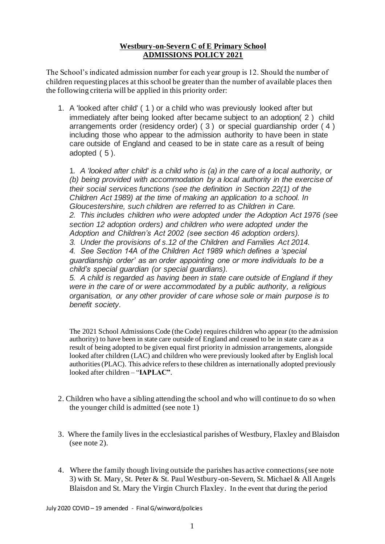# **Westbury-on-Severn C of E Primary School ADMISSIONS POLICY 2021**

The School's indicated admission number for each year group is 12. Should the number of children requesting places at this school be greater than the number of available places then the following criteria will be applied in this priority order:

1. A 'looked after child' ( 1 ) or a child who was previously looked after but immediately after being looked after became subject to an adoption( 2 ) child arrangements order (residency order) ( 3 ) or special guardianship order ( 4 ) including those who appear to the admission authority to have been in state care outside of England and ceased to be in state care as a result of being adopted ( 5 ).

1*. A 'looked after child' is a child who is (a) in the care of a local authority, or (b) being provided with accommodation by a local authority in the exercise of their social services functions (see the definition in Section 22(1) of the Children Act 1989) at the time of making an application to a school. In Gloucestershire, such children are referred to as Children in Care. 2. This includes children who were adopted under the Adoption Act 1976 (see section 12 adoption orders) and children who were adopted under the Adoption and Children's Act 2002 (see section 46 adoption orders). 3. Under the provisions of s.12 of the Children and Families Act 2014.*

*4. See Section 14A of the Children Act 1989 which defines a 'special guardianship order' as an order appointing one or more individuals to be a child's special guardian (or special guardians).*

*5. A child is regarded as having been in state care outside of England if they were in the care of or were accommodated by a public authority, a religious organisation, or any other provider of care whose sole or main purpose is to benefit society.*

The 2021 School Admissions Code (the Code) requires children who appear (to the admission authority) to have been in state care outside of England and ceased to be in state care as a result of being adopted to be given equal first priority in admission arrangements, alongside looked after children (LAC) and children who were previously looked after by English local authorities (PLAC). This advice refers to these children as internationally adopted previously looked after children – "**IAPLAC"**.

- 2. Children who have a sibling attending the school and who will continue to do so when the younger child is admitted (see note 1)
- 3. Where the family lives in the ecclesiastical parishes of Westbury, Flaxley and Blaisdon (see note 2).
- 4. Where the family though living outside the parishes has active connections (see note 3) with St. Mary, St. Peter & St. Paul Westbury-on-Severn, St. Michael & All Angels Blaisdon and St. Mary the Virgin Church Flaxley. In the event that during the period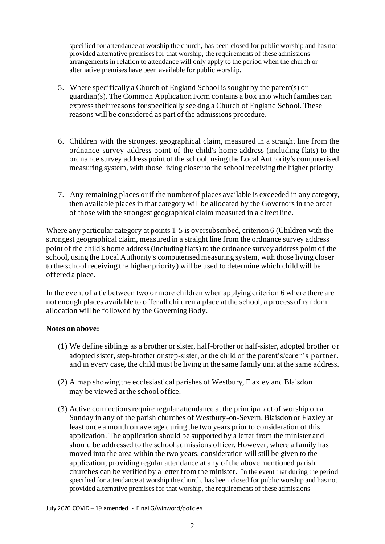specified for attendance at worship the church, has been closed for public worship and has not provided alternative premises for that worship, the requirements of these admissions arrangements in relation to attendance will only apply to the period when the church or alternative premises have been available for public worship.

- 5. Where specifically a Church of England School is sought by the parent(s) or guardian(s). The Common Application Form contains a box into which families can express their reasons for specifically seeking a Church of England School. These reasons will be considered as part of the admissions procedure.
- 6. Children with the strongest geographical claim, measured in a straight line from the ordnance survey address point of the child's home address (including flats) to the ordnance survey address point of the school, using the Local Authority's computerised measuring system, with those living closer to the school receiving the higher priority
- 7. Any remaining places or if the number of places available is exceeded in any category, then available places in that category will be allocated by the Governors in the order of those with the strongest geographical claim measured in a direct line.

Where any particular category at points 1-5 is oversubscribed, criterion 6 (Children with the strongest geographical claim, measured in a straight line from the ordnance survey address point of the child's home address (including flats) to the ordnance survey address point of the school, using the Local Authority's computerised measuring system, with those living closer to the school receiving the higher priority) will be used to determine which child will be offered a place.

In the event of a tie between two or more children when applying criterion 6 where there are not enough places available to offer all children a place at the school, a process of random allocation will be followed by the Governing Body.

# **Notes on above:**

- (1) We define siblings as a brother or sister, half-brother or half-sister, adopted brother or adopted sister, step-brother or step-sister, or the child of the parent's/carer's partner, and in every case, the child must be living in the same family unit at the same address.
- (2) A map showing the ecclesiastical parishes of Westbury, Flaxley and Blaisdon may be viewed at the school office.
- (3) Active connections require regular attendance at the principal act of worship on a Sunday in any of the parish churches of Westbury-on-Severn, Blaisdon or Flaxley at least once a month on average during the two years prior to consideration of this application. The application should be supported by a letter from the minister and should be addressed to the school admissions officer. However, where a family has moved into the area within the two years, consideration will still be given to the application, providing regular attendance at any of the above mentioned parish churches can be verified by a letter from the minister. In the event that during the period specified for attendance at worship the church, has been closed for public worship and has not provided alternative premises for that worship, the requirements of these admissions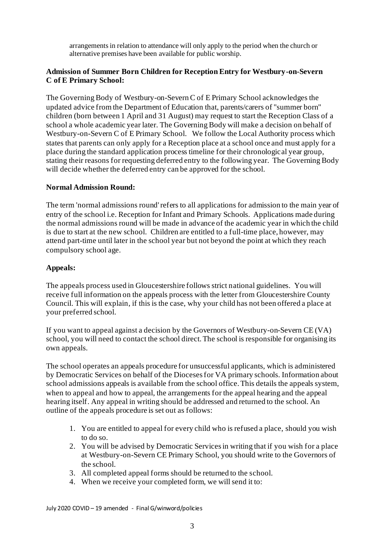arrangements in relation to attendance will only apply to the period when the church or alternative premises have been available for public worship.

## **Admission of Summer Born Children for Reception Entry for Westbury-on-Severn C of E Primary School:**

The Governing Body of Westbury-on-Severn C of E Primary School acknowledges the updated advice from the Department of Education that, parents/carers of "summer born" children (born between 1 April and 31 August) may request to start the Reception Class of a school a whole academic year later. The Governing Body will make a decision on behalf of Westbury-on-Severn C of E Primary School. We follow the Local Authority process which states that parents can only apply for a Reception place at a school once and must apply for a place during the standard application process timeline for their chronological year group, stating their reasons for requesting deferred entry to the following year. The Governing Body will decide whether the deferred entry can be approved for the school.

## **Normal Admission Round:**

The term 'normal admissions round' refers to all applications for admission to the main year of entry of the school i.e. Reception for Infant and Primary Schools. Applications made during the normal admissions round will be made in advance of the academic year in which the child is due to start at the new school. Children are entitled to a full-time place, however, may attend part-time until later in the school year but not beyond the point at which they reach compulsory school age.

## **Appeals:**

The appeals process used in Gloucestershire follows strict national guidelines. You will receive full information on the appeals process with the letter from Gloucestershire County Council. This will explain, if this is the case, why your child has not been offered a place at your preferred school.

If you want to appeal against a decision by the Governors of Westbury-on-Severn CE (VA) school, you will need to contact the school direct. The school is responsible for organising its own appeals.

The school operates an appeals procedure for unsuccessful applicants, which is administered by Democratic Services on behalf of the Dioceses for VA primary schools. Information about school admissions appeals is available from the school office. This details the appeals system, when to appeal and how to appeal, the arrangements for the appeal hearing and the appeal hearing itself. Any appeal in writing should be addressed and returned to the school. An outline of the appeals procedure is set out as follows:

- 1. You are entitled to appeal for every child who is refused a place, should you wish to do so.
- 2. You will be advised by Democratic Services in writing that if you wish for a place at Westbury-on-Severn CE Primary School, you should write to the Governors of the school.
- 3. All completed appeal forms should be returned to the school.
- 4. When we receive your completed form, we will send it to: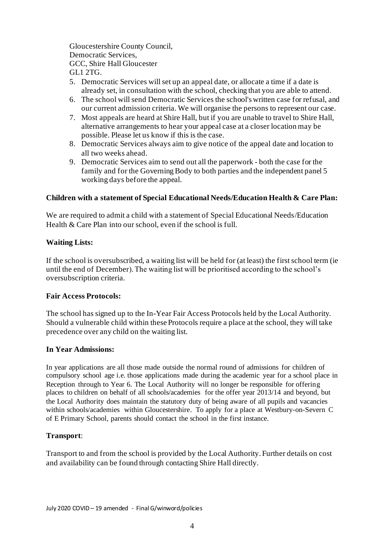Gloucestershire County Council, Democratic Services, GCC, Shire Hall Gloucester GL1 2TG.

- 5. Democratic Services will set up an appeal date, or allocate a time if a date is already set, in consultation with the school, checking that you are able to attend.
- 6. The school will send Democratic Services the school's written case for refusal, and our current admission criteria. We will organise the persons to represent our case.
- 7. Most appeals are heard at Shire Hall, but if you are unable to travel to Shire Hall, alternative arrangements to hear your appeal case at a closer location may be possible. Please let us know if this is the case.
- 8. Democratic Services always aim to give notice of the appeal date and location to all two weeks ahead.
- 9. Democratic Services aim to send out all the paperwork both the case for the family and for the Governing Body to both parties and the independent panel 5 working days before the appeal.

## **Children with a statement of Special Educational Needs/Education Health & Care Plan:**

We are required to admit a child with a statement of Special Educational Needs/Education Health & Care Plan into our school, even if the school is full.

## **Waiting Lists:**

If the school is oversubscribed, a waiting list will be held for (at least) the first school term (ie until the end of December). The waiting list will be prioritised according to the school's oversubscription criteria.

#### **Fair Access Protocols:**

The school has signed up to the In-Year Fair Access Protocols held by the Local Authority. Should a vulnerable child within these Protocols require a place at the school, they will take precedence over any child on the waiting list.

#### **In Year Admissions:**

In year applications are all those made outside the normal round of admissions for children of compulsory school age i.e. those applications made during the academic year for a school place in Reception through to Year 6. The Local Authority will no longer be responsible for offering places to children on behalf of all schools/academies for the offer year 2013/14 and beyond, but the Local Authority does maintain the statutory duty of being aware of all pupils and vacancies within schools/academies within Gloucestershire. To apply for a place at Westbury-on-Severn C of E Primary School, parents should contact the school in the first instance.

# **Transport**:

Transport to and from the school is provided by the Local Authority. Further details on cost and availability can be found through contacting Shire Hall directly.